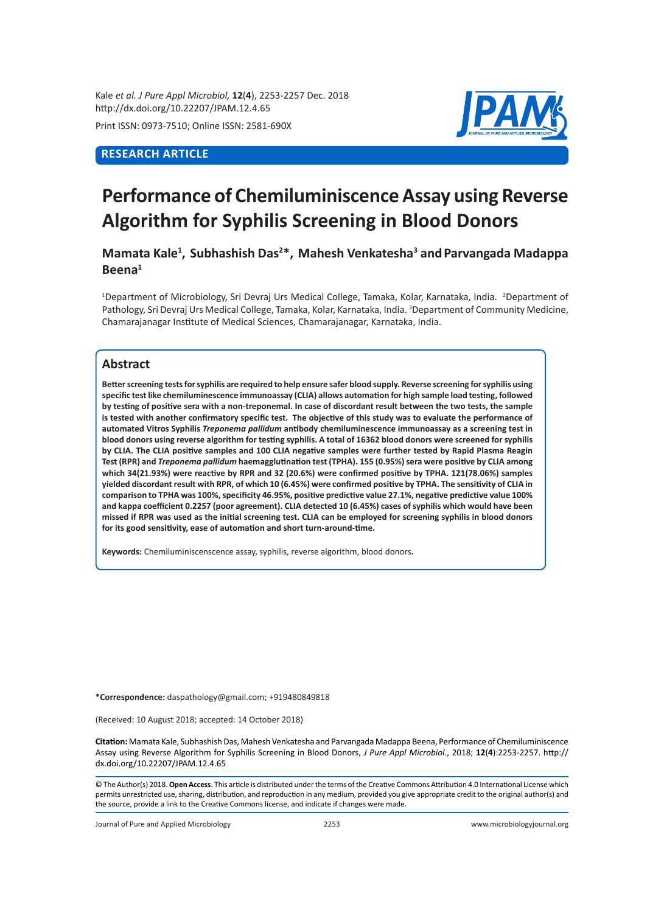Kale *et al. J Pure Appl Microbiol,* **12**(**4**), 2253-2257 Dec. 2018 http://dx.doi.org/10.22207/JPAM.12.4.65

Print ISSN: 0973-7510; Online ISSN: 2581-690X

# **RESEARCH ARTICLE**



# **Performance of Chemiluminiscence Assay using Reverse Algorithm for Syphilis Screening in Blood Donors**

## **Mamata Kale1 , Subhashish Das2 \*, Mahesh Venkatesha3 andParvangada Madappa Beena1**

<sup>1</sup>Department of Microbiology, Sri Devraj Urs Medical College, Tamaka, Kolar, Karnataka, India. <sup>2</sup>Department of Pathology, Sri Devraj Urs Medical College, Tamaka, Kolar, Karnataka, India. <sup>3</sup>Department of Community Medicine, Chamarajanagar Institute of Medical Sciences, Chamarajanagar, Karnataka, India.

## **Abstract**

**Better screening tests for syphilis are required to help ensure safer blood supply. Reverse screening for syphilis using specific test like chemiluminescence immunoassay (CLIA) allows automation for high sample load testing, followed by testing of positive sera with a non-treponemal. In case of discordant result between the two tests, the sample is tested with another confirmatory specific test. The objective of this study was to evaluate the performance of automated Vitros Syphilis** *Treponema pallidum* **antibody chemiluminescence immunoassay as a screening test in blood donors using reverse algorithm for testing syphilis. A total of 16362 blood donors were screened for syphilis by CLIA. The CLIA positive samples and 100 CLIA negative samples were further tested by Rapid Plasma Reagin Test (RPR) and** *Treponema pallidum* **haemagglutination test (TPHA). 155 (0.95%) sera were positive by CLIA among which 34(21.93%) were reactive by RPR and 32 (20.6%) were confirmed positive by TPHA. 121(78.06%) samples yielded discordant result with RPR, of which 10 (6.45%) were confirmed positive by TPHA. The sensitivity of CLIA in comparison to TPHA was 100%, specificity 46.95%, positive predictive value 27.1%, negative predictive value 100% and kappa coefficient 0.2257 (poor agreement). CLIA detected 10 (6.45%) cases of syphilis which would have been missed if RPR was used as the initial screening test. CLIA can be employed for screening syphilis in blood donors for its good sensitivity, ease of automation and short turn-around-time.** 

**Keywords:** Chemiluminiscenscence assay, syphilis, reverse algorithm, blood donors**.**

**\*Correspondence:** daspathology@gmail.com; +919480849818

(Received: 10 August 2018; accepted: 14 October 2018)

**Citation:** Mamata Kale, Subhashish Das, Mahesh Venkatesha and Parvangada Madappa Beena, Performance of Chemiluminiscence Assay using Reverse Algorithm for Syphilis Screening in Blood Donors, *J Pure Appl Microbiol*., 2018; **12**(**4**):2253-2257. http:// dx.doi.org/10.22207/JPAM.12.4.65

© The Author(s) 2018. **Open Access**. This article is distributed under the terms of the Creative Commons Attribution 4.0 International License which permits unrestricted use, sharing, distribution, and reproduction in any medium, provided you give appropriate credit to the original author(s) and the source, provide a link to the Creative Commons license, and indicate if changes were made.

Journal of Pure and Applied Microbiology 2253 www.microbiologyjournal.org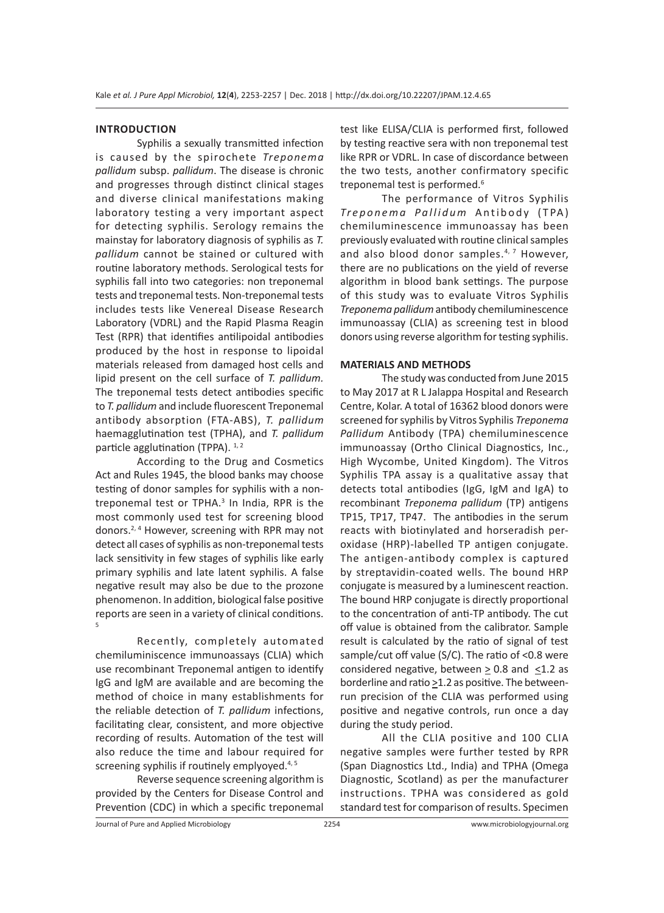## **INTRODUCTION**

Syphilis a sexually transmitted infection is caused by the spirochete *Treponema pallidum* subsp. *pallidum*. The disease is chronic and progresses through distinct clinical stages and diverse clinical manifestations making laboratory testing a very important aspect for detecting syphilis. Serology remains the mainstay for laboratory diagnosis of syphilis as *T. pallidum* cannot be stained or cultured with routine laboratory methods. Serological tests for syphilis fall into two categories: non treponemal tests and treponemal tests. Non-treponemal tests includes tests like Venereal Disease Research Laboratory (VDRL) and the Rapid Plasma Reagin Test (RPR) that identifies antilipoidal antibodies produced by the host in response to lipoidal materials released from damaged host cells and lipid present on the cell surface of *T. pallidum.*  The treponemal tests detect antibodies specific to *T. pallidum* and include fluorescent Treponemal antibody absorption (FTA-ABS), *T. pallidum*  haemagglutination test (TPHA), and *T. pallidum* particle agglutination (TPPA).  $1, 2$ 

According to the Drug and Cosmetics Act and Rules 1945, the blood banks may choose testing of donor samples for syphilis with a nontreponemal test or TPHA.<sup>3</sup> In India, RPR is the most commonly used test for screening blood donors.2, 4 However, screening with RPR may not detect all cases of syphilis as non-treponemal tests lack sensitivity in few stages of syphilis like early primary syphilis and late latent syphilis. A false negative result may also be due to the prozone phenomenon. In addition, biological false positive reports are seen in a variety of clinical conditions. 5

Recently, completely automated chemiluminiscence immunoassays (CLIA) which use recombinant Treponemal antigen to identify IgG and IgM are available and are becoming the method of choice in many establishments for the reliable detection of *T. pallidum* infections, facilitating clear, consistent, and more objective recording of results. Automation of the test will also reduce the time and labour required for screening syphilis if routinely emplyoyed.<sup>4, 5</sup>

Reverse sequence screening algorithm is provided by the Centers for Disease Control and Prevention (CDC) in which a specific treponemal test like ELISA/CLIA is performed first, followed by testing reactive sera with non treponemal test like RPR or VDRL. In case of discordance between the two tests, another confirmatory specific treponemal test is performed.<sup>6</sup>

The performance of Vitros Syphilis *Treponema Pallidum* Antibody (TPA) chemiluminescence immunoassay has been previously evaluated with routine clinical samples and also blood donor samples.<sup>4, 7</sup> However, there are no publications on the yield of reverse algorithm in blood bank settings. The purpose of this study was to evaluate Vitros Syphilis *Treponema pallidum* antibody chemiluminescence immunoassay (CLIA) as screening test in blood donors using reverse algorithm for testing syphilis.

#### **MATERIALS AND METHODS**

The study was conducted from June 2015 to May 2017 at R L Jalappa Hospital and Research Centre, Kolar. A total of 16362 blood donors were screened for syphilis by Vitros Syphilis *Treponema Pallidum* Antibody (TPA) chemiluminescence immunoassay (Ortho Clinical Diagnostics, Inc., High Wycombe, United Kingdom). The Vitros Syphilis TPA assay is a qualitative assay that detects total antibodies (IgG, IgM and IgA) to recombinant *Treponema pallidum* (TP) antigens TP15, TP17, TP47. The antibodies in the serum reacts with biotinylated and horseradish peroxidase (HRP)-labelled TP antigen conjugate. The antigen-antibody complex is captured by streptavidin-coated wells. The bound HRP conjugate is measured by a luminescent reaction. The bound HRP conjugate is directly proportional to the concentration of anti-TP antibody. The cut off value is obtained from the calibrator. Sample result is calculated by the ratio of signal of test sample/cut off value (S/C). The ratio of <0.8 were considered negative, between  $> 0.8$  and  $< 1.2$  as borderline and ratio  $\geq$ 1.2 as positive. The betweenrun precision of the CLIA was performed using positive and negative controls, run once a day during the study period.

All the CLIA positive and 100 CLIA negative samples were further tested by RPR (Span Diagnostics Ltd., India) and TPHA (Omega Diagnostic, Scotland) as per the manufacturer instructions. TPHA was considered as gold standard test for comparison of results. Specimen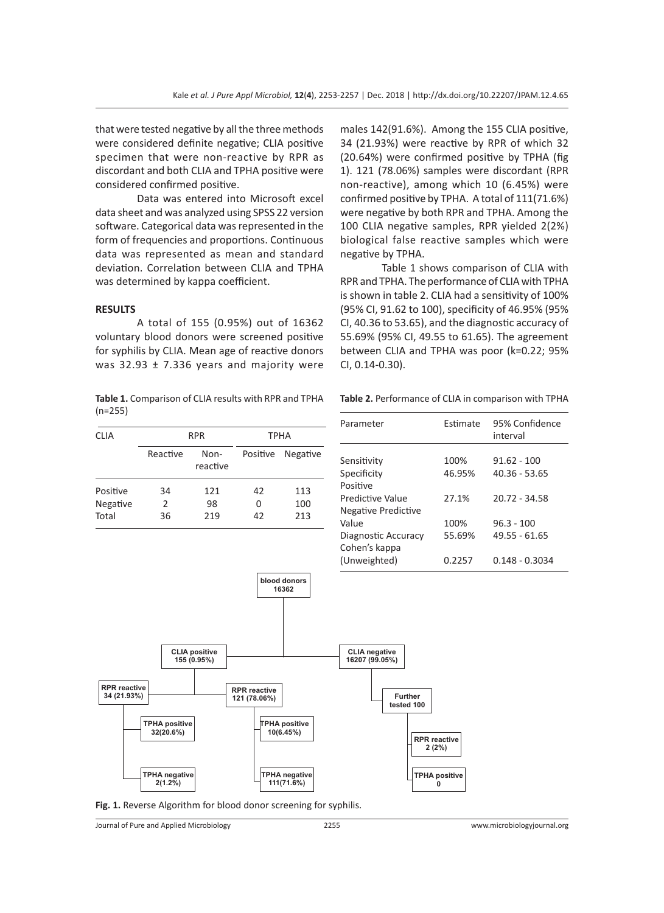that were tested negative by all the three methods were considered definite negative; CLIA positive specimen that were non-reactive by RPR as discordant and both CLIA and TPHA positive were considered confirmed positive.

Data was entered into Microsoft excel data sheet and was analyzed using SPSS 22 version software. Categorical data was represented in the form of frequencies and proportions. Continuous data was represented as mean and standard deviation. Correlation between CLIA and TPHA was determined by kappa coefficient.

#### **RESULTS**

A total of 155 (0.95%) out of 16362 voluntary blood donors were screened positive for syphilis by CLIA. Mean age of reactive donors was  $32.93 \pm 7.336$  years and majority were

**Table 1.** Comparison of CLIA results with RPR and TPHA (n=255)

| <b>CLIA</b>          | <b>RPR</b> |                  | <b>TPHA</b> |            |
|----------------------|------------|------------------|-------------|------------|
|                      | Reactive   | Non-<br>reactive | Positive    | Negative   |
| Positive<br>Negative | 34<br>2    | 121<br>98        | 42<br>0     | 113<br>100 |
| Total                | 36         | 219              | 42          | 213        |

males 142(91.6%). Among the 155 CLIA positive, 34 (21.93%) were reactive by RPR of which 32 (20.64%) were confirmed positive by TPHA (fig 1). 121 (78.06%) samples were discordant (RPR non-reactive), among which 10 (6.45%) were confirmed positive by TPHA. A total of 111(71.6%) were negative by both RPR and TPHA. Among the 100 CLIA negative samples, RPR yielded 2(2%) biological false reactive samples which were negative by TPHA.

Table 1 shows comparison of CLIA with RPR and TPHA. The performance of CLIA with TPHA is shown in table 2. CLIA had a sensitivity of 100% (95% CI, 91.62 to 100), specificity of 46.95% (95% CI, 40.36 to 53.65), and the diagnostic accuracy of 55.69% (95% CI, 49.55 to 61.65). The agreement between CLIA and TPHA was poor (k=0.22; 95% CI, 0.14-0.30).

**Table 2.** Performance of CLIA in comparison with TPHA

| Parameter                                     | Estimate       | 95% Confidence<br>interval       |
|-----------------------------------------------|----------------|----------------------------------|
| Sensitivity<br>Specificity<br>Positive        | 100%<br>46.95% | $91.62 - 100$<br>$40.36 - 53.65$ |
| Predictive Value<br>Negative Predictive       | 27.1%          | $20.72 - 34.58$                  |
| Value<br>Diagnostic Accuracy<br>Cohen's kappa | 100%<br>55.69% | $96.3 - 100$<br>49.55 - 61.65    |
| (Unweighted)                                  | 0.2257         | $0.148 - 0.3034$                 |



**Fig. 1.** Reverse Algorithm for blood donor screening for syphilis.

Journal of Pure and Applied Microbiology 2255 www.microbiologyjournal.org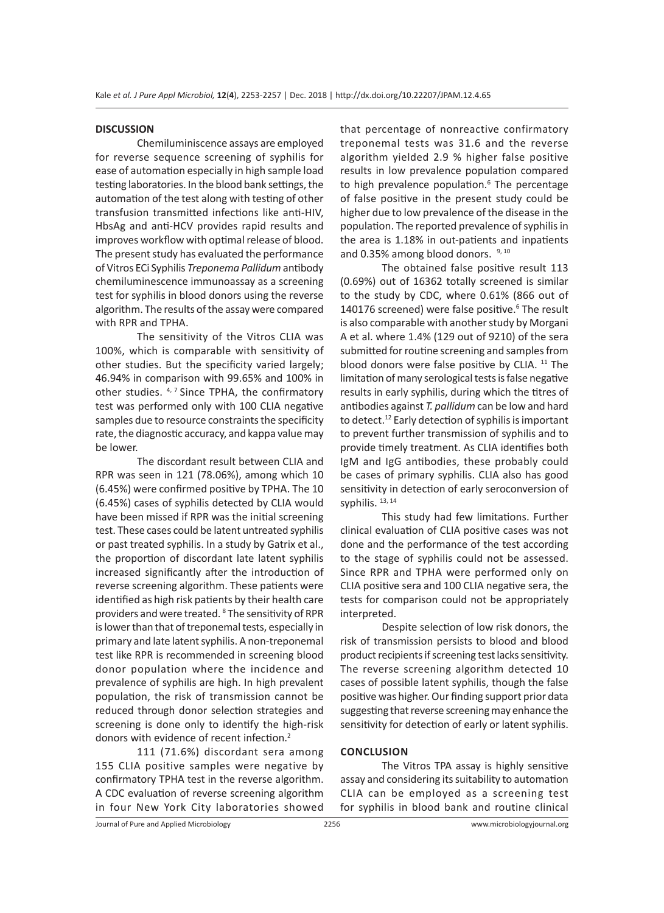#### **DISCUSSION**

Chemiluminiscence assays are employed for reverse sequence screening of syphilis for ease of automation especially in high sample load testing laboratories. In the blood bank settings, the automation of the test along with testing of other transfusion transmitted infections like anti-HIV, HbsAg and anti-HCV provides rapid results and improves workflow with optimal release of blood. The present study has evaluated the performance of Vitros ECi Syphilis *Treponema Pallidum* antibody chemiluminescence immunoassay as a screening test for syphilis in blood donors using the reverse algorithm. The results of the assay were compared with RPR and TPHA.

The sensitivity of the Vitros CLIA was 100%, which is comparable with sensitivity of other studies. But the specificity varied largely; 46.94% in comparison with 99.65% and 100% in other studies.  $4, 7$  Since TPHA, the confirmatory test was performed only with 100 CLIA negative samples due to resource constraints the specificity rate, the diagnostic accuracy, and kappa value may be lower.

The discordant result between CLIA and RPR was seen in 121 (78.06%), among which 10 (6.45%) were confirmed positive by TPHA. The 10 (6.45%) cases of syphilis detected by CLIA would have been missed if RPR was the initial screening test. These cases could be latent untreated syphilis or past treated syphilis. In a study by Gatrix et al., the proportion of discordant late latent syphilis increased significantly after the introduction of reverse screening algorithm. These patients were identified as high risk patients by their health care providers and were treated. <sup>8</sup> The sensitivity of RPR is lower than that of treponemal tests, especially in primary and late latent syphilis. A non-treponemal test like RPR is recommended in screening blood donor population where the incidence and prevalence of syphilis are high. In high prevalent population, the risk of transmission cannot be reduced through donor selection strategies and screening is done only to identify the high-risk donors with evidence of recent infection.<sup>2</sup>

111 (71.6%) discordant sera among 155 CLIA positive samples were negative by confirmatory TPHA test in the reverse algorithm. A CDC evaluation of reverse screening algorithm in four New York City laboratories showed that percentage of nonreactive confirmatory treponemal tests was 31.6 and the reverse algorithm yielded 2.9 % higher false positive results in low prevalence population compared to high prevalence population.<sup>6</sup> The percentage of false positive in the present study could be higher due to low prevalence of the disease in the population. The reported prevalence of syphilis in the area is 1.18% in out-patients and inpatients and 0.35% among blood donors. 9, 10

The obtained false positive result 113 (0.69%) out of 16362 totally screened is similar to the study by CDC, where 0.61% (866 out of 140176 screened) were false positive.<sup>6</sup> The result is also comparable with another study by Morgani A et al. where 1.4% (129 out of 9210) of the sera submitted for routine screening and samples from blood donors were false positive by CLIA.  $11$  The limitation of many serological tests is false negative results in early syphilis, during which the titres of antibodies against *T. pallidum* can be low and hard to detect.12 Early detection of syphilis is important to prevent further transmission of syphilis and to provide timely treatment. As CLIA identifies both IgM and IgG antibodies, these probably could be cases of primary syphilis. CLIA also has good sensitivity in detection of early seroconversion of syphilis. 13, 14

This study had few limitations. Further clinical evaluation of CLIA positive cases was not done and the performance of the test according to the stage of syphilis could not be assessed. Since RPR and TPHA were performed only on CLIA positive sera and 100 CLIA negative sera, the tests for comparison could not be appropriately interpreted.

Despite selection of low risk donors, the risk of transmission persists to blood and blood product recipients if screening test lacks sensitivity. The reverse screening algorithm detected 10 cases of possible latent syphilis, though the false positive was higher. Our finding support prior data suggesting that reverse screening may enhance the sensitivity for detection of early or latent syphilis.

#### **CONCLUSION**

The Vitros TPA assay is highly sensitive assay and considering its suitability to automation CLIA can be employed as a screening test for syphilis in blood bank and routine clinical